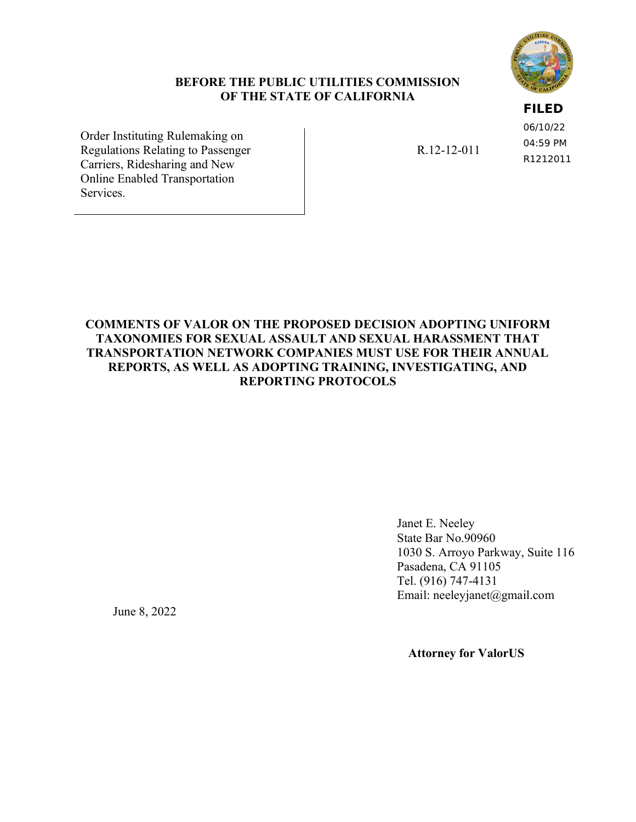### **BEFORE THE PUBLIC UTILITIES COMMISSION OF THE STATE OF CALIFORNIA**

### **FILED**

06/10/22 04:59 PM R1212011

Order Instituting Rulemaking on Regulations Relating to Passenger Carriers, Ridesharing and New Online Enabled Transportation Services.

R.12-12-011

### **COMMENTS OF VALOR ON THE [PROPOSED DECISION A](http://docs.cpuc.ca.gov/PublishedDocs/Efile/G000/M326/K933/326933637.PDF)DOPTING UNIFORM TAXONOMIES FOR SEXUAL ASSAULT AND SEXUAL HARASSMENT THAT TRANSPORTATION NETWORK COMPANIES MUST USE FOR THEIR ANNUAL REPORTS, AS WELL AS ADOPTING TRAINING, INVESTIGATING, AND REPORTING PROTOCOLS**

Janet E. Neeley State Bar No.90960 1030 S. Arroyo Parkway, Suite 116 Pasadena, CA 91105 Tel. (916) 747-4131 Email: neeleyjanet@gmail.com

June 8, 2022

 **Attorney for ValorUS**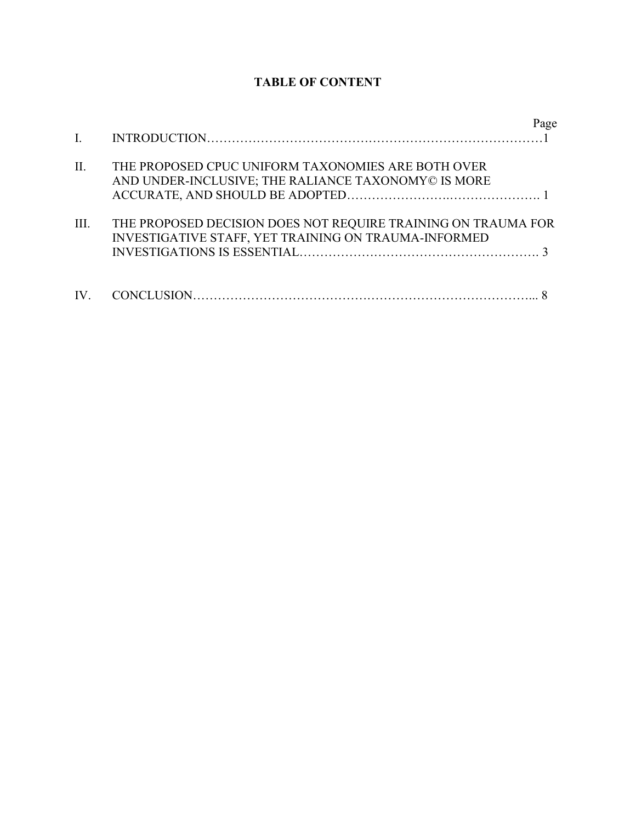# **TABLE OF CONTENT**

| $\mathbf{I}$ . |                                                                                                                       | Page |
|----------------|-----------------------------------------------------------------------------------------------------------------------|------|
| II.            | THE PROPOSED CPUC UNIFORM TAXONOMIES ARE BOTH OVER<br>AND UNDER-INCLUSIVE; THE RALIANCE TAXONOMY© IS MORE             |      |
| III.           | THE PROPOSED DECISION DOES NOT REQUIRE TRAINING ON TRAUMA FOR<br>INVESTIGATIVE STAFF, YET TRAINING ON TRAUMA-INFORMED |      |
|                |                                                                                                                       |      |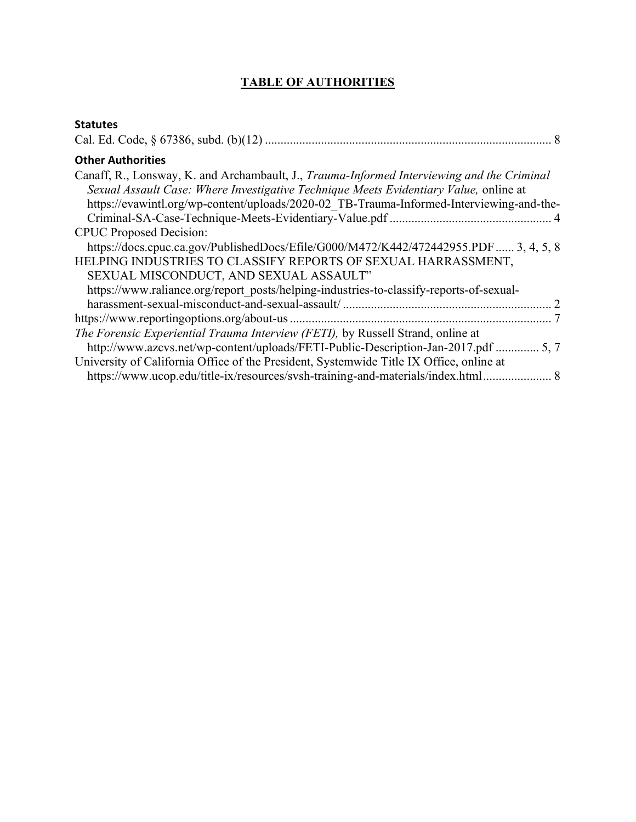## **TABLE OF AUTHORITIES**

| <b>Statutes</b>                                                                                                                                                                                                                                                                 |  |
|---------------------------------------------------------------------------------------------------------------------------------------------------------------------------------------------------------------------------------------------------------------------------------|--|
|                                                                                                                                                                                                                                                                                 |  |
| <b>Other Authorities</b>                                                                                                                                                                                                                                                        |  |
| Canaff, R., Lonsway, K. and Archambault, J., Trauma-Informed Interviewing and the Criminal<br>Sexual Assault Case: Where Investigative Technique Meets Evidentiary Value, online at<br>https://evawintl.org/wp-content/uploads/2020-02 TB-Trauma-Informed-Interviewing-and-the- |  |
|                                                                                                                                                                                                                                                                                 |  |
| <b>CPUC Proposed Decision:</b>                                                                                                                                                                                                                                                  |  |
| https://docs.cpuc.ca.gov/PublishedDocs/Efile/G000/M472/K442/472442955.PDF 3, 4, 5, 8                                                                                                                                                                                            |  |
| HELPING INDUSTRIES TO CLASSIFY REPORTS OF SEXUAL HARRASSMENT,<br>SEXUAL MISCONDUCT, AND SEXUAL ASSAULT"                                                                                                                                                                         |  |
| https://www.raliance.org/report_posts/helping-industries-to-classify-reports-of-sexual-                                                                                                                                                                                         |  |
|                                                                                                                                                                                                                                                                                 |  |
|                                                                                                                                                                                                                                                                                 |  |
| The Forensic Experiential Trauma Interview (FETI), by Russell Strand, online at<br>http://www.azcvs.net/wp-content/uploads/FETI-Public-Description-Jan-2017.pdf  5, 7                                                                                                           |  |
| University of California Office of the President, Systemwide Title IX Office, online at<br>https://www.ucop.edu/title-ix/resources/svsh-training-and-materials/index.html 8                                                                                                     |  |
|                                                                                                                                                                                                                                                                                 |  |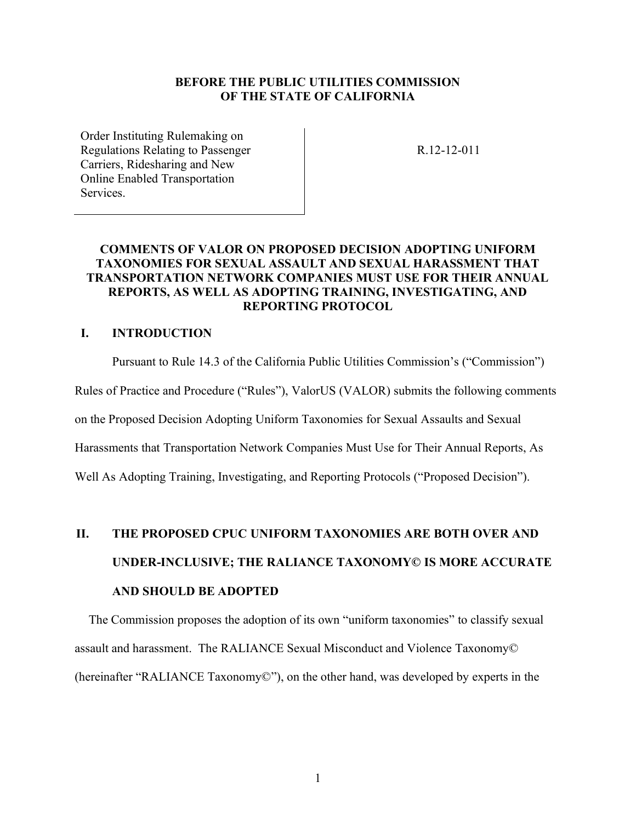### **BEFORE THE PUBLIC UTILITIES COMMISSION OF THE STATE OF CALIFORNIA**

Order Instituting Rulemaking on Regulations Relating to Passenger Carriers, Ridesharing and New Online Enabled Transportation **Services** 

R.12-12-011

### **COMMENTS OF VALOR ON [PROPOSED DECISION A](http://docs.cpuc.ca.gov/PublishedDocs/Efile/G000/M326/K933/326933637.PDF)DOPTING UNIFORM TAXONOMIES FOR SEXUAL ASSAULT AND SEXUAL HARASSMENT THAT TRANSPORTATION NETWORK COMPANIES MUST USE FOR THEIR ANNUAL REPORTS, AS WELL AS ADOPTING TRAINING, INVESTIGATING, AND REPORTING PROTOCOL**

### **I. INTRODUCTION**

Pursuant to Rule 14.3 of the California Public Utilities Commission's ("Commission")

Rules of Practice and Procedure ("Rules"), ValorUS (VALOR) submits the following comments

on the Proposed Decision Adopting Uniform Taxonomies for Sexual Assaults and Sexual

Harassments that Transportation Network Companies Must Use for Their Annual Reports, As

Well As Adopting Training, Investigating, and Reporting Protocols ("Proposed Decision").

# **II. THE PROPOSED CPUC UNIFORM TAXONOMIES ARE BOTH OVER AND UNDER-INCLUSIVE; THE RALIANCE TAXONOMY© IS MORE ACCURATE AND SHOULD BE ADOPTED**

The Commission proposes the adoption of its own "uniform taxonomies" to classify sexual assault and harassment. The RALIANCE Sexual Misconduct and Violence Taxonomy© (hereinafter "RALIANCE Taxonomy©"), on the other hand, was developed by experts in the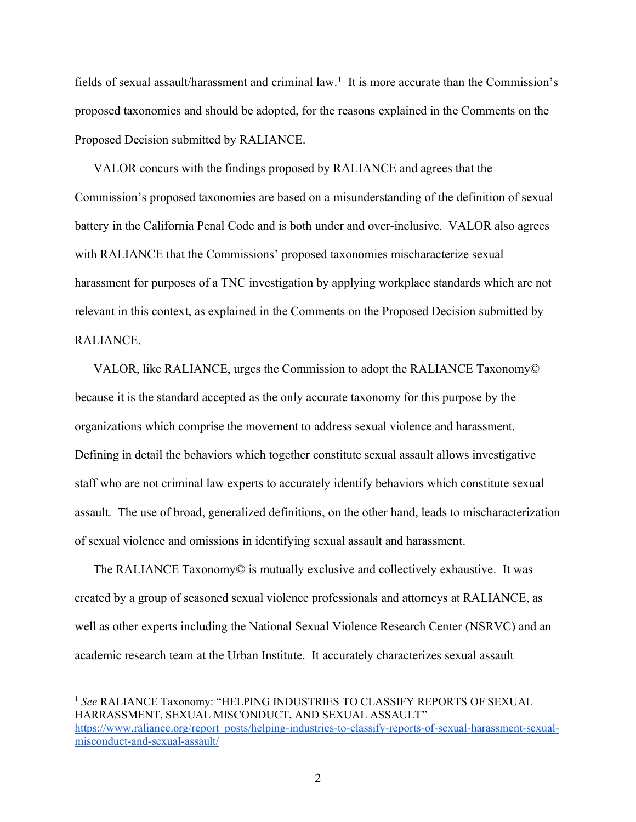fields of sexual assault/harassment and criminal law.<sup>1</sup> It is more accurate than the Commission's proposed taxonomies and should be adopted, for the reasons explained in the Comments on the Proposed Decision submitted by RALIANCE.

VALOR concurs with the findings proposed by RALIANCE and agrees that the Commission's proposed taxonomies are based on a misunderstanding of the definition of sexual battery in the California Penal Code and is both under and over-inclusive. VALOR also agrees with RALIANCE that the Commissions' proposed taxonomies mischaracterize sexual harassment for purposes of a TNC investigation by applying workplace standards which are not relevant in this context, as explained in the Comments on the Proposed Decision submitted by RALIANCE.

VALOR, like RALIANCE, urges the Commission to adopt the RALIANCE Taxonomy© because it is the standard accepted as the only accurate taxonomy for this purpose by the organizations which comprise the movement to address sexual violence and harassment. Defining in detail the behaviors which together constitute sexual assault allows investigative staff who are not criminal law experts to accurately identify behaviors which constitute sexual assault. The use of broad, generalized definitions, on the other hand, leads to mischaracterization of sexual violence and omissions in identifying sexual assault and harassment.

The RALIANCE Taxonomy© is mutually exclusive and collectively exhaustive. It was created by a group of seasoned sexual violence professionals and attorneys at RALIANCE, as well as other experts including the National Sexual Violence Research Center (NSRVC) and an academic research team at the Urban Institute. It accurately characterizes sexual assault

<sup>&</sup>lt;sup>1</sup> See RALIANCE Taxonomy: "HELPING INDUSTRIES TO CLASSIFY REPORTS OF SEXUAL HARRASSMENT, SEXUAL MISCONDUCT, AND SEXUAL ASSAULT" [https://www.raliance.org/report\\_posts/helping-industries-to-classify-reports-of-sexual-harassment-sexual](https://www.raliance.org/report_posts/helping-industries-to-classify-reports-of-sexual-harassment-sexual-misconduct-and-sexual-assault/)[misconduct-and-sexual-assault/](https://www.raliance.org/report_posts/helping-industries-to-classify-reports-of-sexual-harassment-sexual-misconduct-and-sexual-assault/)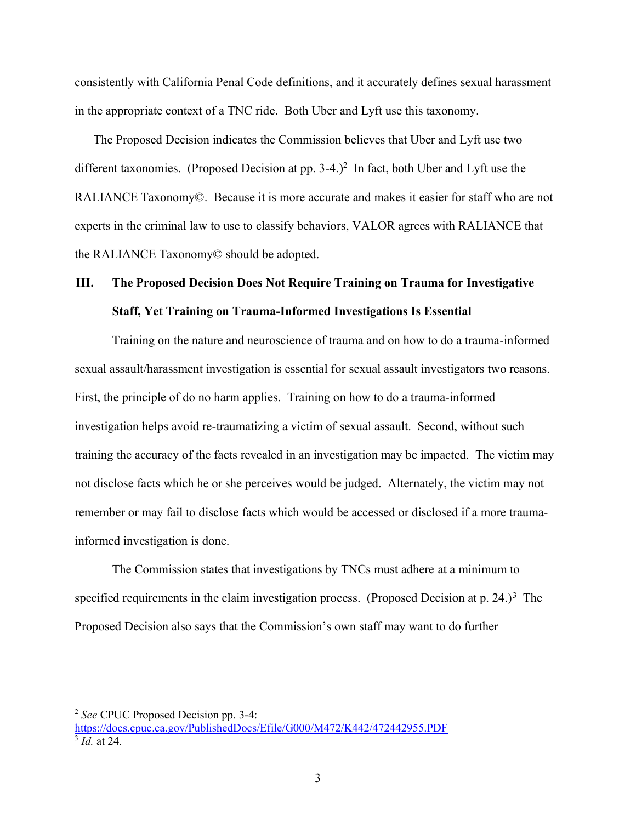consistently with California Penal Code definitions, and it accurately defines sexual harassment in the appropriate context of a TNC ride. Both Uber and Lyft use this taxonomy.

The Proposed Decision indicates the Commission believes that Uber and Lyft use two different taxonomies. (Proposed Decision at pp. 3-4.)<sup>2</sup> In fact, both Uber and Lyft use the RALIANCE Taxonomy©. Because it is more accurate and makes it easier for staff who are not experts in the criminal law to use to classify behaviors, VALOR agrees with RALIANCE that the RALIANCE Taxonomy© should be adopted.

# **III. The Proposed Decision Does Not Require Training on Trauma for Investigative Staff, Yet Training on Trauma-Informed Investigations Is Essential**

Training on the nature and neuroscience of trauma and on how to do a trauma-informed sexual assault/harassment investigation is essential for sexual assault investigators two reasons. First, the principle of do no harm applies. Training on how to do a trauma-informed investigation helps avoid re-traumatizing a victim of sexual assault. Second, without such training the accuracy of the facts revealed in an investigation may be impacted. The victim may not disclose facts which he or she perceives would be judged. Alternately, the victim may not remember or may fail to disclose facts which would be accessed or disclosed if a more traumainformed investigation is done.

The Commission states that investigations by TNCs must adhere at a minimum to specified requirements in the claim investigation process. (Proposed Decision at p. 24.)<sup>3</sup> The Proposed Decision also says that the Commission's own staff may want to do further

<sup>2</sup> *See* CPUC Proposed Decision pp. 3-4:

<https://docs.cpuc.ca.gov/PublishedDocs/Efile/G000/M472/K442/472442955.PDF> 3 *Id.* at 24.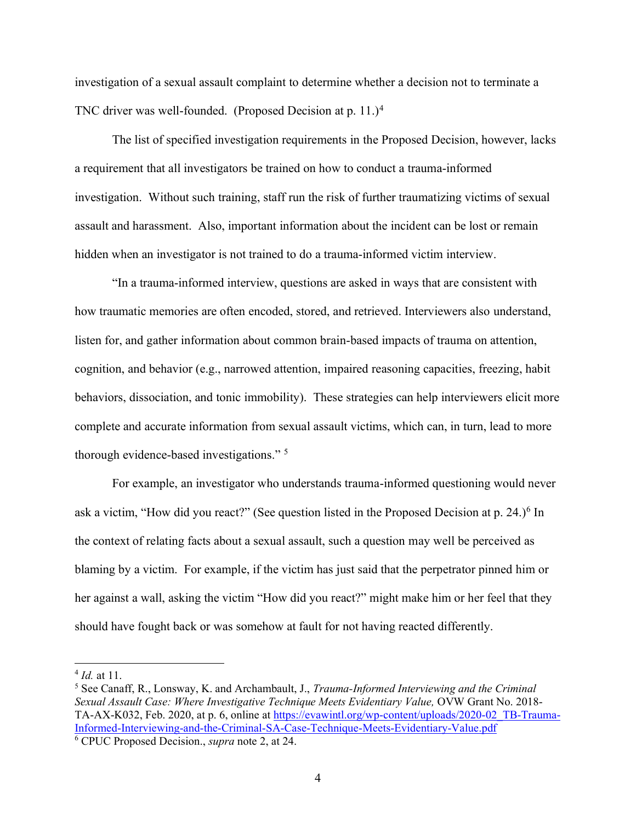investigation of a sexual assault complaint to determine whether a decision not to terminate a TNC driver was well-founded. (Proposed Decision at p. 11.)<sup>4</sup>

The list of specified investigation requirements in the Proposed Decision, however, lacks a requirement that all investigators be trained on how to conduct a trauma-informed investigation. Without such training, staff run the risk of further traumatizing victims of sexual assault and harassment. Also, important information about the incident can be lost or remain hidden when an investigator is not trained to do a trauma-informed victim interview.

"In a trauma-informed interview, questions are asked in ways that are consistent with how traumatic memories are often encoded, stored, and retrieved. Interviewers also understand, listen for, and gather information about common brain-based impacts of trauma on attention, cognition, and behavior (e.g., narrowed attention, impaired reasoning capacities, freezing, habit behaviors, dissociation, and tonic immobility). These strategies can help interviewers elicit more complete and accurate information from sexual assault victims, which can, in turn, lead to more thorough evidence-based investigations." <sup>5</sup>

For example, an investigator who understands trauma-informed questioning would never ask a victim, "How did you react?" (See question listed in the Proposed Decision at p. 24.)<sup>6</sup> In the context of relating facts about a sexual assault, such a question may well be perceived as blaming by a victim. For example, if the victim has just said that the perpetrator pinned him or her against a wall, asking the victim "How did you react?" might make him or her feel that they should have fought back or was somehow at fault for not having reacted differently.

<sup>4</sup> *Id.* at 11.

<sup>5</sup> See Canaff, R., Lonsway, K. and Archambault, J., *Trauma-Informed Interviewing and the Criminal Sexual Assault Case: Where Investigative Technique Meets Evidentiary Value,* OVW Grant No. 2018- TA-AX-K032, Feb. 2020, at p. 6, online at [https://evawintl.org/wp-content/uploads/2020-02\\_TB-Trauma-](https://evawintl.org/wp-content/uploads/2020-02_TB-Trauma-Informed-Interviewing-and-the-Criminal-SA-Case-Technique-Meets-Evidentiary-Value.pdf)[Informed-Interviewing-and-the-Criminal-SA-Case-Technique-Meets-Evidentiary-Value.pdf](https://evawintl.org/wp-content/uploads/2020-02_TB-Trauma-Informed-Interviewing-and-the-Criminal-SA-Case-Technique-Meets-Evidentiary-Value.pdf) <sup>6</sup> CPUC Proposed Decision., *supra* note 2, at 24.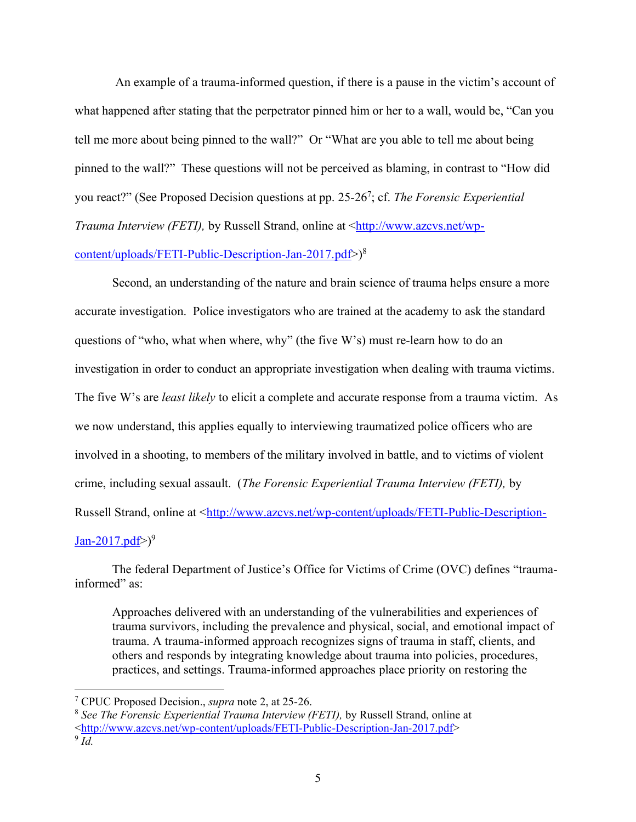An example of a trauma-informed question, if there is a pause in the victim's account of what happened after stating that the perpetrator pinned him or her to a wall, would be, "Can you tell me more about being pinned to the wall?" Or "What are you able to tell me about being pinned to the wall?" These questions will not be perceived as blaming, in contrast to "How did you react?" (See Proposed Decision questions at pp. 25-26<sup>7</sup> ; cf. *The Forensic Experiential Trauma Interview (FETI), by Russell Strand, online at* [<http://www.azcvs.net/wp](http://www.azcvs.net/wp-content/uploads/FETI-Public-Description-Jan-2017.pdf)[content/uploads/FETI-Public-Description-Jan-2017.pdf>](http://www.azcvs.net/wp-content/uploads/FETI-Public-Description-Jan-2017.pdf)) 8

Second, an understanding of the nature and brain science of trauma helps ensure a more accurate investigation. Police investigators who are trained at the academy to ask the standard questions of "who, what when where, why" (the five W's) must re-learn how to do an investigation in order to conduct an appropriate investigation when dealing with trauma victims. The five W's are *least likely* to elicit a complete and accurate response from a trauma victim. As we now understand, this applies equally to interviewing traumatized police officers who are involved in a shooting, to members of the military involved in battle, and to victims of violent crime, including sexual assault. (*The Forensic Experiential Trauma Interview (FETI),* by Russell Strand, online at [<http://www.azcvs.net/wp-content/uploads/FETI-Public-Description-](http://www.azcvs.net/wp-content/uploads/FETI-Public-Description-Jan-2017.pdf)[Jan-2017.pdf>](http://www.azcvs.net/wp-content/uploads/FETI-Public-Description-Jan-2017.pdf))<sup>9</sup>

The federal Department of Justice's Office for Victims of Crime (OVC) defines "traumainformed" as:

Approaches delivered with an understanding of the vulnerabilities and experiences of trauma survivors, including the prevalence and physical, social, and emotional impact of trauma. A trauma-informed approach recognizes signs of trauma in staff, clients, and others and responds by integrating knowledge about trauma into policies, procedures, practices, and settings. Trauma-informed approaches place priority on restoring the

<sup>7</sup> CPUC Proposed Decision., *supra* note 2, at 25-26.

<sup>8</sup> *See The Forensic Experiential Trauma Interview (FETI),* by Russell Strand, online at [<http://www.azcvs.net/wp-content/uploads/FETI-Public-Description-Jan-2017.pdf>](http://www.azcvs.net/wp-content/uploads/FETI-Public-Description-Jan-2017.pdf)

<sup>9</sup> *Id.*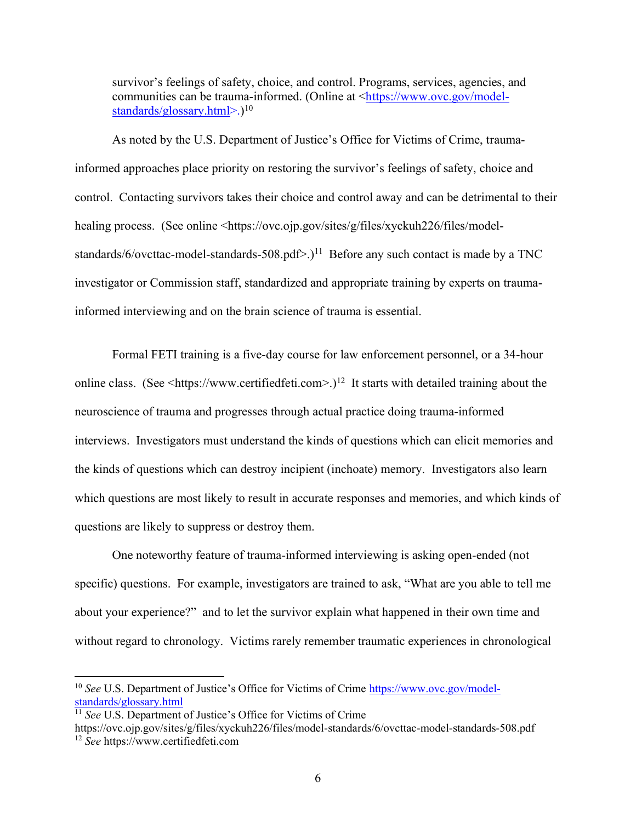survivor's feelings of safety, choice, and control. Programs, services, agencies, and communities can be trauma-informed. (Online at [<https://www.ovc.gov/model](https://www.ovc.gov/model-standards/glossary.html)[standards/glossary.html>](https://www.ovc.gov/model-standards/glossary.html).)<sup>10</sup>

As noted by the U.S. Department of Justice's Office for Victims of Crime, traumainformed approaches place priority on restoring the survivor's feelings of safety, choice and control. Contacting survivors takes their choice and control away and can be detrimental to their healing process. (See online <https://ovc.ojp.gov/sites/g/files/xyckuh226/files/modelstandards/6/ovcttac-model-standards-508.pdf>.)<sup>11</sup> Before any such contact is made by a TNC investigator or Commission staff, standardized and appropriate training by experts on traumainformed interviewing and on the brain science of trauma is essential.

Formal FETI training is a five-day course for law enforcement personnel, or a 34-hour online class. (See  $\text{th}\text{tips.}$ //www.certifiedfeti.com>.)<sup>12</sup> It starts with detailed training about the neuroscience of trauma and progresses through actual practice doing trauma-informed interviews. Investigators must understand the kinds of questions which can elicit memories and the kinds of questions which can destroy incipient (inchoate) memory. Investigators also learn which questions are most likely to result in accurate responses and memories, and which kinds of questions are likely to suppress or destroy them.

One noteworthy feature of trauma-informed interviewing is asking open-ended (not specific) questions. For example, investigators are trained to ask, "What are you able to tell me about your experience?" and to let the survivor explain what happened in their own time and without regard to chronology. Victims rarely remember traumatic experiences in chronological

<sup>&</sup>lt;sup>10</sup> *See* U.S. Department of Justice's Office for Victims of Crime [https://www.ovc.gov/model](https://www.ovc.gov/model-standards/glossary.html)[standards/glossary.html](https://www.ovc.gov/model-standards/glossary.html)

<sup>&</sup>lt;sup>11</sup> *See* U.S. Department of Justice's Office for Victims of Crime

https://ovc.ojp.gov/sites/g/files/xyckuh226/files/model-standards/6/ovcttac-model-standards-508.pdf <sup>12</sup> *See* https://www.certifiedfeti.com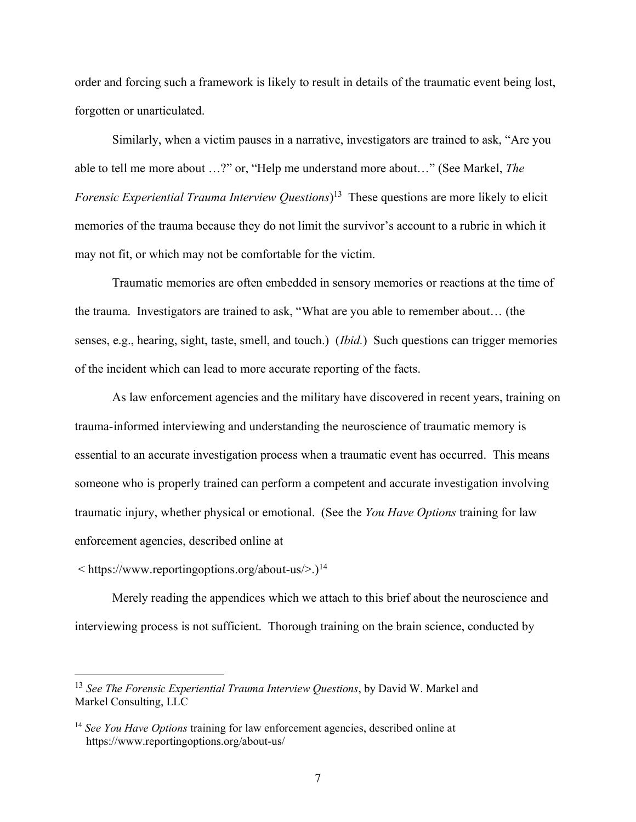order and forcing such a framework is likely to result in details of the traumatic event being lost, forgotten or unarticulated.

Similarly, when a victim pauses in a narrative, investigators are trained to ask, "Are you able to tell me more about …?" or, "Help me understand more about…" (See Markel, *The Forensic Experiential Trauma Interview Questions*) 13 These questions are more likely to elicit memories of the trauma because they do not limit the survivor's account to a rubric in which it may not fit, or which may not be comfortable for the victim.

Traumatic memories are often embedded in sensory memories or reactions at the time of the trauma. Investigators are trained to ask, "What are you able to remember about… (the senses, e.g., hearing, sight, taste, smell, and touch.) (*Ibid.*) Such questions can trigger memories of the incident which can lead to more accurate reporting of the facts.

As law enforcement agencies and the military have discovered in recent years, training on trauma-informed interviewing and understanding the neuroscience of traumatic memory is essential to an accurate investigation process when a traumatic event has occurred. This means someone who is properly trained can perform a competent and accurate investigation involving traumatic injury, whether physical or emotional. (See the *You Have Options* training for law enforcement agencies, described online at

< https://www.reportingoptions.org/about-us/>.) 14

Merely reading the appendices which we attach to this brief about the neuroscience and interviewing process is not sufficient. Thorough training on the brain science, conducted by

<sup>13</sup> *See The Forensic Experiential Trauma Interview Questions*, by David W. Markel and Markel Consulting, LLC

<sup>14</sup> *See You Have Options* training for law enforcement agencies, described online at https://www.reportingoptions.org/about-us/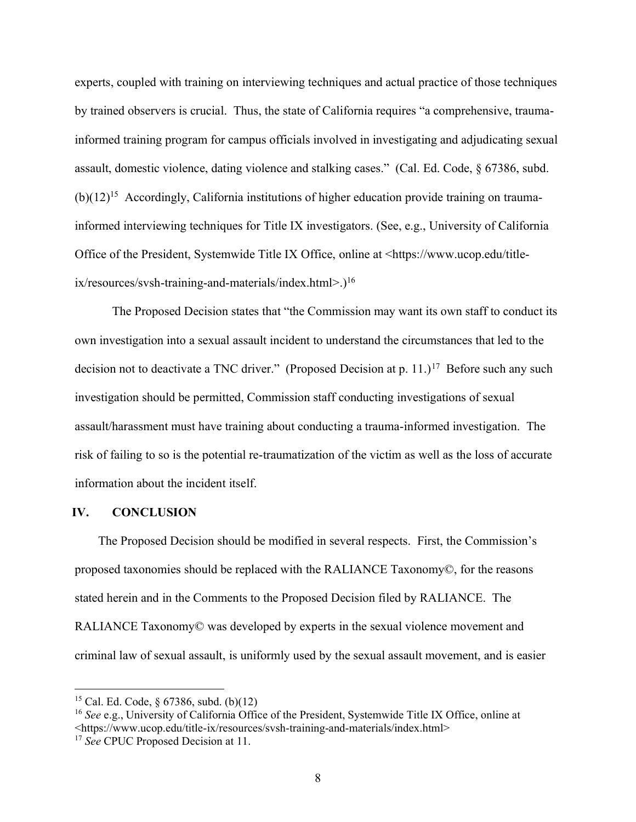experts, coupled with training on interviewing techniques and actual practice of those techniques by trained observers is crucial. Thus, the state of California requires "a comprehensive, traumainformed training program for campus officials involved in investigating and adjudicating sexual assault, domestic violence, dating violence and stalking cases." (Cal. Ed. Code, § 67386, subd.  $(b)(12)^{15}$  Accordingly, California institutions of higher education provide training on traumainformed interviewing techniques for Title IX investigators. (See, e.g., University of California Office of the President, Systemwide Title IX Office, online at <https://www.ucop.edu/titleix/resources/svsh-training-and-materials/index.html>.)<sup>16</sup>

The Proposed Decision states that "the Commission may want its own staff to conduct its own investigation into a sexual assault incident to understand the circumstances that led to the decision not to deactivate a TNC driver." (Proposed Decision at p. 11.)<sup>17</sup> Before such any such investigation should be permitted, Commission staff conducting investigations of sexual assault/harassment must have training about conducting a trauma-informed investigation. The risk of failing to so is the potential re-traumatization of the victim as well as the loss of accurate information about the incident itself.

### **IV. CONCLUSION**

The Proposed Decision should be modified in several respects. First, the Commission's proposed taxonomies should be replaced with the RALIANCE Taxonomy©, for the reasons stated herein and in the Comments to the Proposed Decision filed by RALIANCE. The RALIANCE Taxonomy© was developed by experts in the sexual violence movement and criminal law of sexual assault, is uniformly used by the sexual assault movement, and is easier

<sup>&</sup>lt;sup>15</sup> Cal. Ed. Code,  $\frac{6}{386}$ , subd. (b)(12)

<sup>16</sup> *See* e.g., University of California Office of the President, Systemwide Title IX Office, online at <https://www.ucop.edu/title-ix/resources/svsh-training-and-materials/index.html>

<sup>17</sup> *See* CPUC Proposed Decision at 11.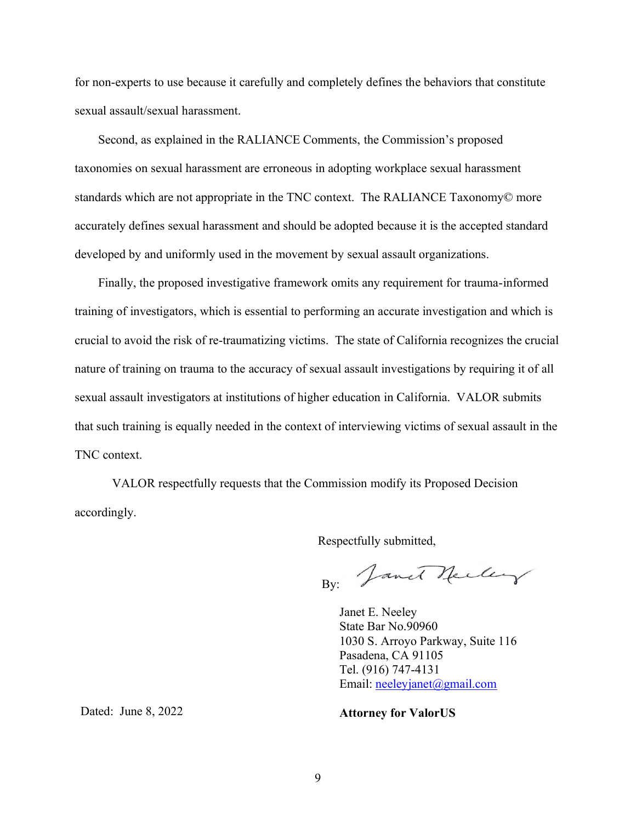for non-experts to use because it carefully and completely defines the behaviors that constitute sexual assault/sexual harassment.

Second, as explained in the RALIANCE Comments, the Commission's proposed taxonomies on sexual harassment are erroneous in adopting workplace sexual harassment standards which are not appropriate in the TNC context. The RALIANCE Taxonomy© more accurately defines sexual harassment and should be adopted because it is the accepted standard developed by and uniformly used in the movement by sexual assault organizations.

Finally, the proposed investigative framework omits any requirement for trauma-informed training of investigators, which is essential to performing an accurate investigation and which is crucial to avoid the risk of re-traumatizing victims. The state of California recognizes the crucial nature of training on trauma to the accuracy of sexual assault investigations by requiring it of all sexual assault investigators at institutions of higher education in California. VALOR submits that such training is equally needed in the context of interviewing victims of sexual assault in the TNC context.

VALOR respectfully requests that the Commission modify its Proposed Decision accordingly.

Respectfully submitted,

By: Janet Neeley

Janet E. Neeley State Bar No.90960 1030 S. Arroyo Parkway, Suite 116 Pasadena, CA 91105 Tel. (916) 747-4131 Email: [neeleyjanet@gmail.com](mailto:neeleyjanet@gmail.com)

Dated: June 8, 2022

### **Attorney for ValorUS**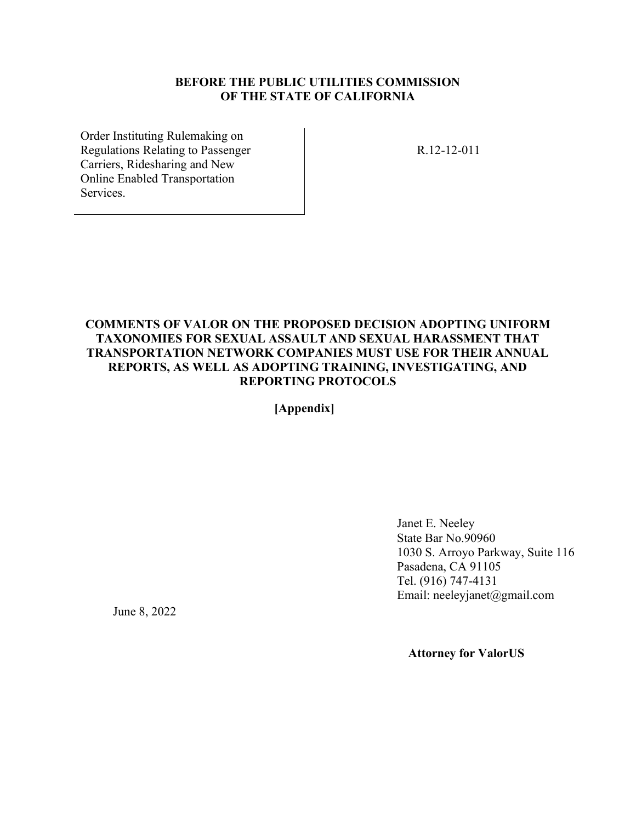### **BEFORE THE PUBLIC UTILITIES COMMISSION OF THE STATE OF CALIFORNIA**

Order Instituting Rulemaking on Regulations Relating to Passenger Carriers, Ridesharing and New Online Enabled Transportation Services.

R.12-12-011

### **COMMENTS OF VALOR ON THE [PROPOSED DECISION A](http://docs.cpuc.ca.gov/PublishedDocs/Efile/G000/M326/K933/326933637.PDF)DOPTING UNIFORM TAXONOMIES FOR SEXUAL ASSAULT AND SEXUAL HARASSMENT THAT TRANSPORTATION NETWORK COMPANIES MUST USE FOR THEIR ANNUAL REPORTS, AS WELL AS ADOPTING TRAINING, INVESTIGATING, AND REPORTING PROTOCOLS**

 **[Appendix]**

Janet E. Neeley State Bar No.90960 1030 S. Arroyo Parkway, Suite 116 Pasadena, CA 91105 Tel. (916) 747-4131 Email: neeleyjanet@gmail.com

June 8, 2022

 **Attorney for ValorUS**